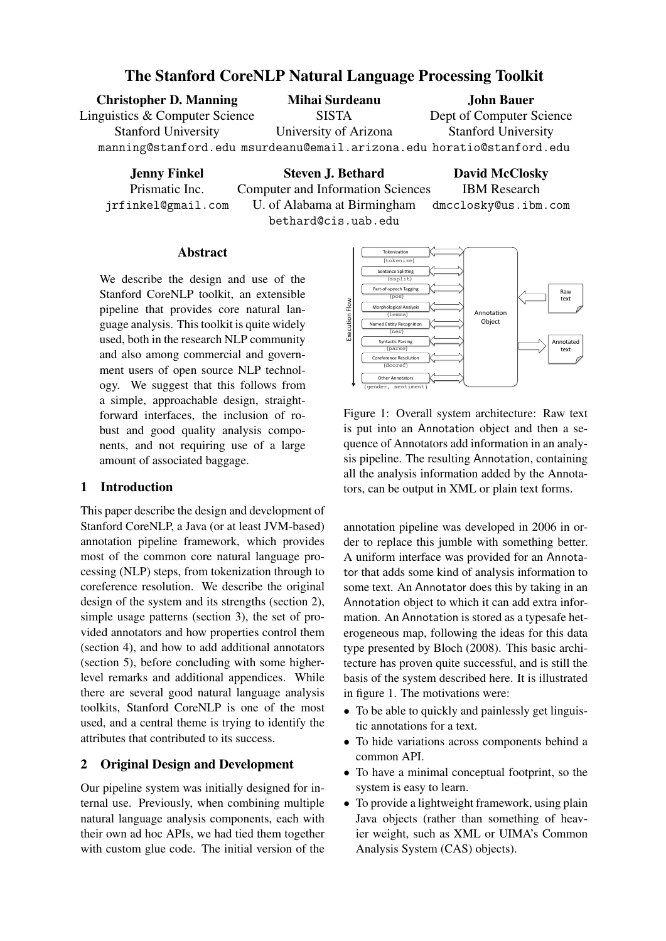# The Stanford CoreNLP Natural Language Processing Toolkit

Christopher D. Manning Linguistics & Computer Science Stanford University manning@stanford.edu msurdeanu@email.arizona.edu horatio@stanford.edu Mihai Surdeanu SISTA University of Arizona John Bauer Dept of Computer Science Stanford University

Jenny Finkel

Prismatic Inc. jrfinkel@gmail.com

Steven J. Bethard Computer and Information Sciences U. of Alabama at Birmingham bethard@cis.uab.edu David McClosky IBM Research dmcclosky@us.ibm.com

## Abstract

We describe the design and use of the Stanford CoreNLP toolkit, an extensible pipeline that provides core natural language analysis. This toolkit is quite widely used, both in the research NLP community and also among commercial and government users of open source NLP technology. We suggest that this follows from a simple, approachable design, straightforward interfaces, the inclusion of robust and good quality analysis components, and not requiring use of a large amount of associated baggage.

# 1 Introduction

This paper describe the design and development of Stanford CoreNLP, a Java (or at least JVM-based) annotation pipeline framework, which provides most of the common core natural language processing (NLP) steps, from tokenization through to coreference resolution. We describe the original design of the system and its strengths (section 2), simple usage patterns (section 3), the set of provided annotators and how properties control them (section 4), and how to add additional annotators (section 5), before concluding with some higherlevel remarks and additional appendices. While there are several good natural language analysis toolkits, Stanford CoreNLP is one of the most used, and a central theme is trying to identify the attributes that contributed to its success.

## 2 Original Design and Development

Our pipeline system was initially designed for internal use. Previously, when combining multiple natural language analysis components, each with their own ad hoc APIs, we had tied them together with custom glue code. The initial version of the



Figure 1: Overall system architecture: Raw text is put into an Annotation object and then a sequence of Annotators add information in an analysis pipeline. The resulting Annotation, containing all the analysis information added by the Annotators, can be output in XML or plain text forms.

annotation pipeline was developed in 2006 in order to replace this jumble with something better. A uniform interface was provided for an Annotator that adds some kind of analysis information to some text. An Annotator does this by taking in an Annotation object to which it can add extra information. An Annotation is stored as a typesafe heterogeneous map, following the ideas for this data type presented by Bloch (2008). This basic architecture has proven quite successful, and is still the basis of the system described here. It is illustrated in figure 1. The motivations were:

- To be able to quickly and painlessly get linguistic annotations for a text.
- To hide variations across components behind a common API.
- To have a minimal conceptual footprint, so the system is easy to learn.
- To provide a lightweight framework, using plain Java objects (rather than something of heavier weight, such as XML or UIMA's Common Analysis System (CAS) objects).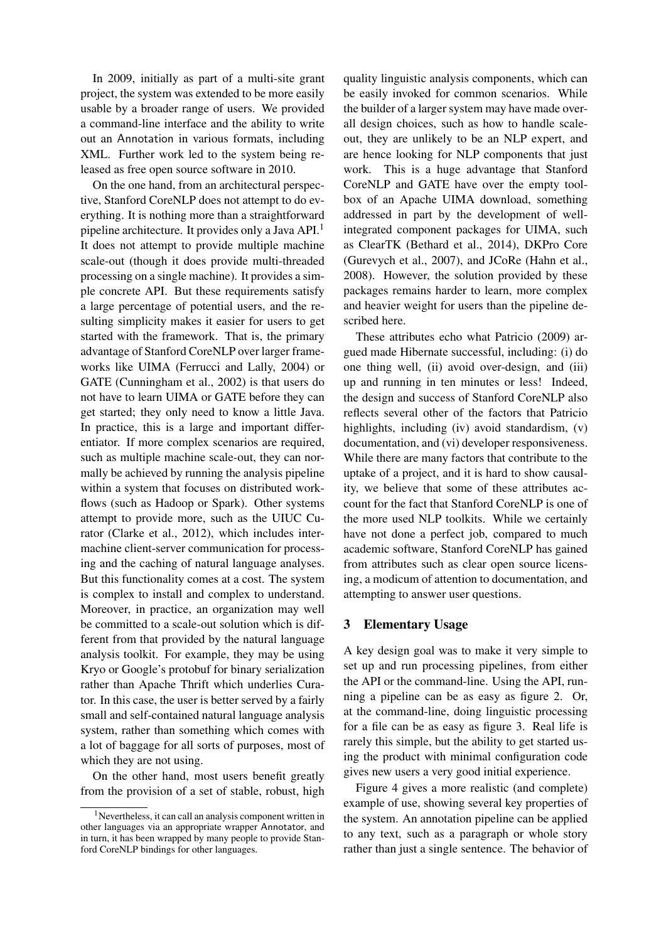In 2009, initially as part of a multi-site grant project, the system was extended to be more easily usable by a broader range of users. We provided a command-line interface and the ability to write out an Annotation in various formats, including XML. Further work led to the system being released as free open source software in 2010.

On the one hand, from an architectural perspective, Stanford CoreNLP does not attempt to do everything. It is nothing more than a straightforward pipeline architecture. It provides only a Java API.<sup>1</sup> It does not attempt to provide multiple machine scale-out (though it does provide multi-threaded processing on a single machine). It provides a simple concrete API. But these requirements satisfy a large percentage of potential users, and the resulting simplicity makes it easier for users to get started with the framework. That is, the primary advantage of Stanford CoreNLP over larger frameworks like UIMA (Ferrucci and Lally, 2004) or GATE (Cunningham et al., 2002) is that users do not have to learn UIMA or GATE before they can get started; they only need to know a little Java. In practice, this is a large and important differentiator. If more complex scenarios are required, such as multiple machine scale-out, they can normally be achieved by running the analysis pipeline within a system that focuses on distributed workflows (such as Hadoop or Spark). Other systems attempt to provide more, such as the UIUC Curator (Clarke et al., 2012), which includes intermachine client-server communication for processing and the caching of natural language analyses. But this functionality comes at a cost. The system is complex to install and complex to understand. Moreover, in practice, an organization may well be committed to a scale-out solution which is different from that provided by the natural language analysis toolkit. For example, they may be using Kryo or Google's protobuf for binary serialization rather than Apache Thrift which underlies Curator. In this case, the user is better served by a fairly small and self-contained natural language analysis system, rather than something which comes with a lot of baggage for all sorts of purposes, most of which they are not using.

On the other hand, most users benefit greatly from the provision of a set of stable, robust, high

quality linguistic analysis components, which can be easily invoked for common scenarios. While the builder of a larger system may have made overall design choices, such as how to handle scaleout, they are unlikely to be an NLP expert, and are hence looking for NLP components that just work. This is a huge advantage that Stanford CoreNLP and GATE have over the empty toolbox of an Apache UIMA download, something addressed in part by the development of wellintegrated component packages for UIMA, such as ClearTK (Bethard et al., 2014), DKPro Core (Gurevych et al., 2007), and JCoRe (Hahn et al., 2008). However, the solution provided by these packages remains harder to learn, more complex and heavier weight for users than the pipeline described here.

These attributes echo what Patricio (2009) argued made Hibernate successful, including: (i) do one thing well, (ii) avoid over-design, and (iii) up and running in ten minutes or less! Indeed, the design and success of Stanford CoreNLP also reflects several other of the factors that Patricio highlights, including (iv) avoid standardism, (v) documentation, and (vi) developer responsiveness. While there are many factors that contribute to the uptake of a project, and it is hard to show causality, we believe that some of these attributes account for the fact that Stanford CoreNLP is one of the more used NLP toolkits. While we certainly have not done a perfect job, compared to much academic software, Stanford CoreNLP has gained from attributes such as clear open source licensing, a modicum of attention to documentation, and attempting to answer user questions.

### 3 Elementary Usage

A key design goal was to make it very simple to set up and run processing pipelines, from either the API or the command-line. Using the API, running a pipeline can be as easy as figure 2. Or, at the command-line, doing linguistic processing for a file can be as easy as figure 3. Real life is rarely this simple, but the ability to get started using the product with minimal configuration code gives new users a very good initial experience.

Figure 4 gives a more realistic (and complete) example of use, showing several key properties of the system. An annotation pipeline can be applied to any text, such as a paragraph or whole story rather than just a single sentence. The behavior of

<sup>&</sup>lt;sup>1</sup>Nevertheless, it can call an analysis component written in other languages via an appropriate wrapper Annotator, and in turn, it has been wrapped by many people to provide Stanford CoreNLP bindings for other languages.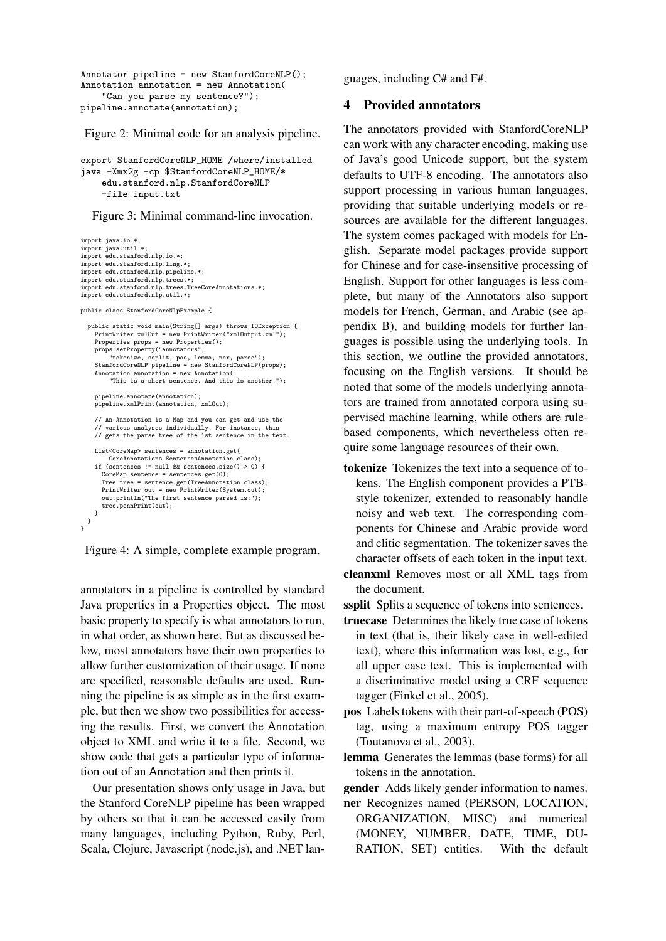```
Annotator pipeline = new StanfordCoreNLP();
Annotation annotation = new Annotation(
    "Can you parse my sentence?");
pipeline.annotate(annotation);
```
Figure 2: Minimal code for an analysis pipeline.

```
export StanfordCoreNLP_HOME /where/installed
java -Xmx2g -cp $StanfordCoreNLP_HOME/*
    edu.stanford.nlp.StanfordCoreNLP
    -file input.txt
```
Figure 3: Minimal command-line invocation.

```
import java.io.*;
import java.util.*;
import edu.stanford.nlp.io.*;
import edu.stanford.nlp.ling.*;
import edu.stanford.nlp.pipeline.*;
import edu.stanford.nlp.trees.*;
import edu.stanford.nlp.trees.TreeCoreAnnotations.*;
import edu.stanford.nlp.util.*;
public class StanfordCoreNlpExample {
  public static void main(String[] args) throws IOException {
    PrintWriter xmlOut = new PrintWriter("xmlOutput.xml");
    Properties props = new Properties();
     props.setProperty("annotators",
"tokenize, ssplit, pos, lemma, ner, parse");
     StanfordCoreNLP pipeline = new StanfordCoreNLP(props);
Annotation annotation = new Annotation(
         "This is a short sentence. And this is another.");
    pipeline.annotate(annotation);
    pipeline.xmlPrint(annotation, xmlOut);
    // An Annotation is a Map and you can get and use the
        various analyses individually. For instance, this
    // gets the parse tree of the 1st sentence in the text.
    List<CoreMap> sentences = annotation.get(
         CoreAnnotations.SentencesAnnotation.class);
    if (sentences != null kb sentences size() > 0) {
      CoreMan sentence = sentences.get(0):
      Tree tree = sentence.get(TreeAnnotation.class);
      PrintWriter out = new PrintWriter(System.out);
       out.println("The first sentence parsed is:");
      tree.pennPrint(out);
    \overline{1}}
}
```
Figure 4: A simple, complete example program.

annotators in a pipeline is controlled by standard Java properties in a Properties object. The most basic property to specify is what annotators to run, in what order, as shown here. But as discussed below, most annotators have their own properties to allow further customization of their usage. If none are specified, reasonable defaults are used. Running the pipeline is as simple as in the first example, but then we show two possibilities for accessing the results. First, we convert the Annotation object to XML and write it to a file. Second, we show code that gets a particular type of information out of an Annotation and then prints it.

Our presentation shows only usage in Java, but the Stanford CoreNLP pipeline has been wrapped by others so that it can be accessed easily from many languages, including Python, Ruby, Perl, Scala, Clojure, Javascript (node.js), and .NET languages, including C# and F#.

## 4 Provided annotators

The annotators provided with StanfordCoreNLP can work with any character encoding, making use of Java's good Unicode support, but the system defaults to UTF-8 encoding. The annotators also support processing in various human languages, providing that suitable underlying models or resources are available for the different languages. The system comes packaged with models for English. Separate model packages provide support for Chinese and for case-insensitive processing of English. Support for other languages is less complete, but many of the Annotators also support models for French, German, and Arabic (see appendix B), and building models for further languages is possible using the underlying tools. In this section, we outline the provided annotators, focusing on the English versions. It should be noted that some of the models underlying annotators are trained from annotated corpora using supervised machine learning, while others are rulebased components, which nevertheless often require some language resources of their own.

tokenize Tokenizes the text into a sequence of tokens. The English component provides a PTBstyle tokenizer, extended to reasonably handle noisy and web text. The corresponding components for Chinese and Arabic provide word and clitic segmentation. The tokenizer saves the character offsets of each token in the input text.

cleanxml Removes most or all XML tags from the document.

ssplit Splits a sequence of tokens into sentences.

- truecase Determines the likely true case of tokens in text (that is, their likely case in well-edited text), where this information was lost, e.g., for all upper case text. This is implemented with a discriminative model using a CRF sequence tagger (Finkel et al., 2005).
- pos Labels tokens with their part-of-speech (POS) tag, using a maximum entropy POS tagger (Toutanova et al., 2003).
- lemma Generates the lemmas (base forms) for all tokens in the annotation.

gender Adds likely gender information to names.

ner Recognizes named (PERSON, LOCATION, ORGANIZATION, MISC) and numerical (MONEY, NUMBER, DATE, TIME, DU-RATION, SET) entities. With the default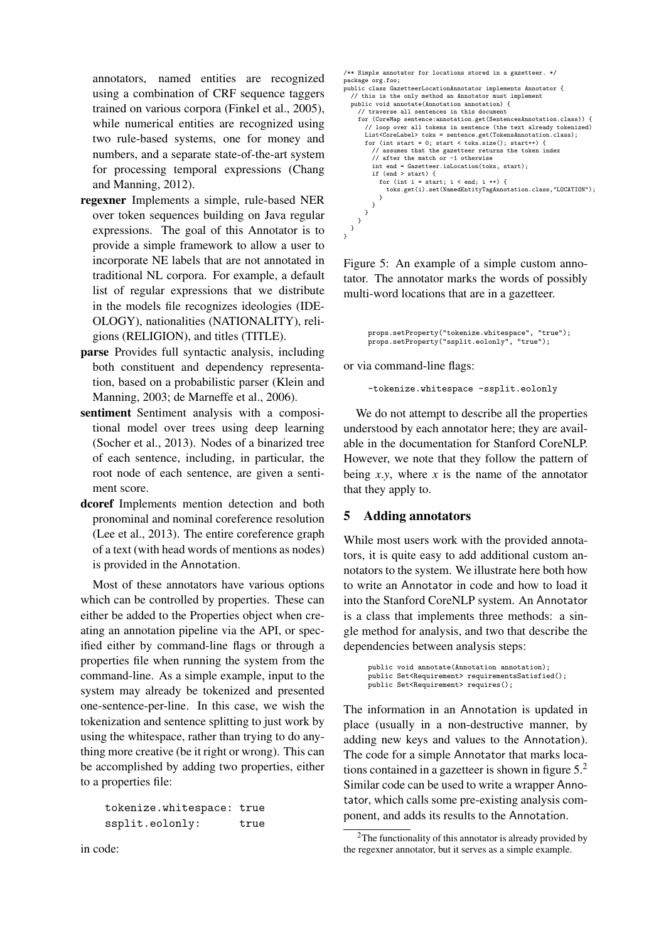annotators, named entities are recognized using a combination of CRF sequence taggers trained on various corpora (Finkel et al., 2005), while numerical entities are recognized using two rule-based systems, one for money and numbers, and a separate state-of-the-art system for processing temporal expressions (Chang and Manning, 2012).

- regexner Implements a simple, rule-based NER over token sequences building on Java regular expressions. The goal of this Annotator is to provide a simple framework to allow a user to incorporate NE labels that are not annotated in traditional NL corpora. For example, a default list of regular expressions that we distribute in the models file recognizes ideologies (IDE-OLOGY), nationalities (NATIONALITY), religions (RELIGION), and titles (TITLE).
- parse Provides full syntactic analysis, including both constituent and dependency representation, based on a probabilistic parser (Klein and Manning, 2003; de Marneffe et al., 2006).
- sentiment Sentiment analysis with a compositional model over trees using deep learning (Socher et al., 2013). Nodes of a binarized tree of each sentence, including, in particular, the root node of each sentence, are given a sentiment score.
- dcoref Implements mention detection and both pronominal and nominal coreference resolution (Lee et al., 2013). The entire coreference graph of a text (with head words of mentions as nodes) is provided in the Annotation.

Most of these annotators have various options which can be controlled by properties. These can either be added to the Properties object when creating an annotation pipeline via the API, or specified either by command-line flags or through a properties file when running the system from the command-line. As a simple example, input to the system may already be tokenized and presented one-sentence-per-line. In this case, we wish the tokenization and sentence splitting to just work by using the whitespace, rather than trying to do anything more creative (be it right or wrong). This can be accomplished by adding two properties, either to a properties file:

tokenize.whitespace: true ssplit.eolonly: true

```
/** Simple annotator for locations stored in a gazetteer. */
package org.foo;
public class GazetteerLocationAnnotator implements Annotator {
  // this is the only method an Annotator must implement
  public void annotate(Annotation annotation) {
    // traverse all sentences in this document
         function and Schoonces in this document<br>(CoreMap sentence:annotation.get(SentencesAnnotation.class)) {
      // loop over all tokens in sentence (the text already tokenized)
      List<CoreLabel> toks = sentence.get(TokensAnnotation.class);
      for (int start = 0; start < toks.size(); start++) {
           assumes that the gazetteer returns the token index
         // after the match or -1 otherwise
         int end = Gazetteer.isLocation(toks, start);
        if (end > start) {
          for (int i = start; i < end; i +1) {
             toks.get(i).set(NamedEntityTagAnnotation.class,"LOCATION");
          }
        \overline{ }}
    }
 }
}
```
Figure 5: An example of a simple custom annotator. The annotator marks the words of possibly multi-word locations that are in a gazetteer.

```
props.setProperty("tokenize.whitespace", "true");
props.setProperty("ssplit.eolonly", "true");
```
or via command-line flags:

-tokenize.whitespace -ssplit.eolonly

We do not attempt to describe all the properties understood by each annotator here; they are available in the documentation for Stanford CoreNLP. However, we note that they follow the pattern of being  $x.y$ , where  $x$  is the name of the annotator that they apply to.

## 5 Adding annotators

While most users work with the provided annotators, it is quite easy to add additional custom annotators to the system. We illustrate here both how to write an Annotator in code and how to load it into the Stanford CoreNLP system. An Annotator is a class that implements three methods: a single method for analysis, and two that describe the dependencies between analysis steps:

> public void annotate(Annotation annotation); public Set<Requirement> requirementsSatisfied(); public Set<Requirement> requires();

The information in an Annotation is updated in place (usually in a non-destructive manner, by adding new keys and values to the Annotation). The code for a simple Annotator that marks locations contained in a gazetteer is shown in figure 5.<sup>2</sup> Similar code can be used to write a wrapper Annotator, which calls some pre-existing analysis component, and adds its results to the Annotation.

in code:

 $2$ The functionality of this annotator is already provided by the regexner annotator, but it serves as a simple example.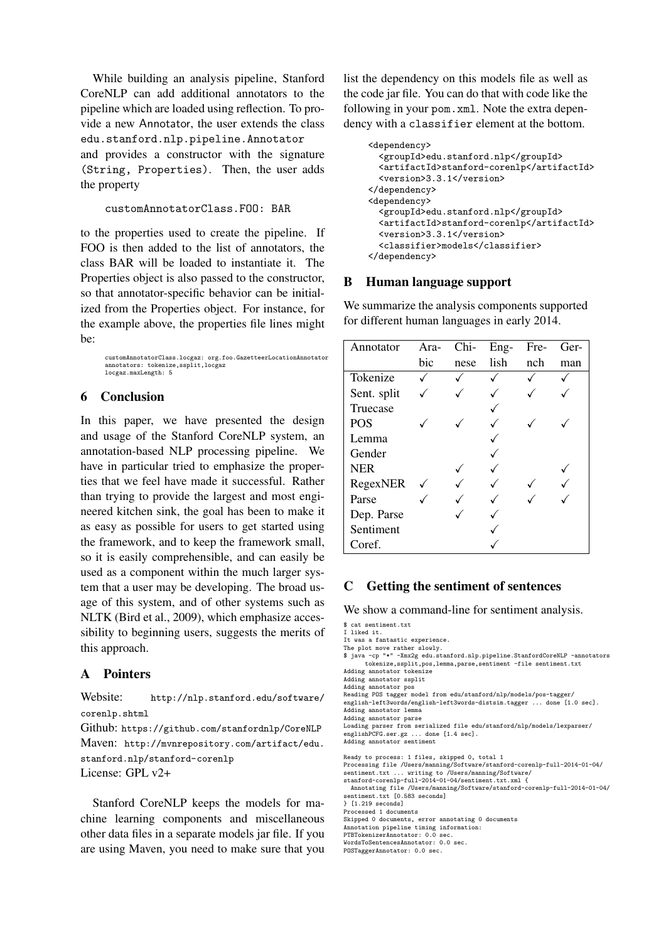While building an analysis pipeline, Stanford CoreNLP can add additional annotators to the pipeline which are loaded using reflection. To provide a new Annotator, the user extends the class edu.stanford.nlp.pipeline.Annotator and provides a constructor with the signature (String, Properties). Then, the user adds the property

```
customAnnotatorClass.FOO: BAR
```
to the properties used to create the pipeline. If FOO is then added to the list of annotators, the class BAR will be loaded to instantiate it. The Properties object is also passed to the constructor, so that annotator-specific behavior can be initialized from the Properties object. For instance, for the example above, the properties file lines might be:

customAnnotatorClass.locgaz: org.foo.GazetteerLocationAnnotator annotators: tokenize,ssplit,locgaz locgaz.maxLength: 5

## 6 Conclusion

In this paper, we have presented the design and usage of the Stanford CoreNLP system, an annotation-based NLP processing pipeline. We have in particular tried to emphasize the properties that we feel have made it successful. Rather than trying to provide the largest and most engineered kitchen sink, the goal has been to make it as easy as possible for users to get started using the framework, and to keep the framework small, so it is easily comprehensible, and can easily be used as a component within the much larger system that a user may be developing. The broad usage of this system, and of other systems such as NLTK (Bird et al., 2009), which emphasize accessibility to beginning users, suggests the merits of this approach.

## A Pointers

Website: http://nlp.stanford.edu/software/ corenlp.shtml Github: https://github.com/stanfordnlp/CoreNLP Maven: http://mvnrepository.com/artifact/edu. stanford.nlp/stanford-corenlp License: GPL v2+

Stanford CoreNLP keeps the models for machine learning components and miscellaneous other data files in a separate models jar file. If you are using Maven, you need to make sure that you list the dependency on this models file as well as the code jar file. You can do that with code like the following in your pom.xml. Note the extra dependency with a classifier element at the bottom.

```
<dependency>
  <groupId>edu.stanford.nlp</groupId>
  <artifactId>stanford-corenlp</artifactId>
  <version>3.3.1</version>
</dependency>
<dependency>
 <groupId>edu.stanford.nlp</groupId>
 <artifactId>stanford-corenlp</artifactId>
 <version>3.3.1</version>
  <classifier>models</classifier>
</dependency>
```
### B Human language support

We summarize the analysis components supported for different human languages in early 2014.

| Annotator   | Ara- | Chi- | Eng- | Fre- | Ger- |
|-------------|------|------|------|------|------|
|             | bic  | nese | lish | nch  | man  |
| Tokenize    |      |      |      |      |      |
| Sent. split |      |      |      |      |      |
| Truecase    |      |      |      |      |      |
| <b>POS</b>  |      |      |      |      |      |
| Lemma       |      |      |      |      |      |
| Gender      |      |      |      |      |      |
| <b>NER</b>  |      |      |      |      |      |
| RegexNER    |      |      |      |      |      |
| Parse       |      |      |      |      |      |
| Dep. Parse  |      |      |      |      |      |
| Sentiment   |      |      |      |      |      |
| Coref.      |      |      |      |      |      |

### C Getting the sentiment of sentences

We show a command-line for sentiment analysis.

```
$ cat sentiment.txt
I liked it.
It was a fantastic experience.
```
The plot move rather slowly. \$ java -cp "\*" -Xmx2g edu.stanford.nlp.pipeline.StanfordCoreNLP -annotators tokenize,ssplit,pos,lemma,parse,sentiment -file sentiment.txt Adding annotator tokenize Adding annotator ssplit Adding annotator pos Reading POS tagger model from edu/stanford/nlp/models/pos-tagger/ english-left3words/english-left3words-distsim.tagger ... done [1.0 sec]. Adding annotator lemma Adding annotator parse Loading parser from serialized file edu/stanford/nlp/models/lexparser/<br>englishPCFG.ser.gz ... done [1.4 sec]. englishPCFG.ser.gz ... done [1.4 sec]. Adding annotator sentiment Ready to process: 1 files, skipped 0, total 1 Processing file /Users/manning/Software/stanford-corenlp-full-2014-01-04/ sentiment.txt ... writing to /Users/manning/Software/ stanford-corenlp-full-2014-01-04/sentiment.txt.xml {

Annotating file /Users/manning/Software/stanford-corenlp-full-2014-01-04/ sentiment.txt [0.583 seconds]

} [1.219 seconds]

Processed 1 documents

Skipped 0 documents, error annotating 0 documents Annotation pipeline timing information:

PTBTokenizerAnnotator: 0.0 sec.

WordsToSentencesAnnotator: 0.0 sec.

POSTaggerAnnotator: 0.0 sec.